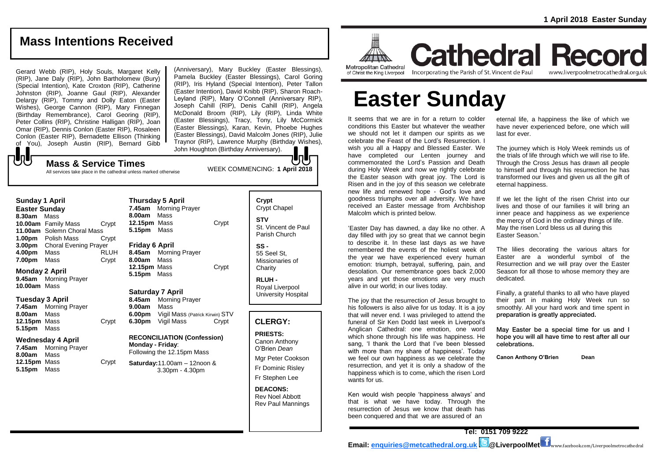www.liverpoolmetrocathedral.org.uk

## **Mass Intentions Received**

Gerard Webb (RIP), Holy Souls, Margaret Kelly (RIP), Jane Daly (RIP), John Bartholomew (Bury) (Special Intention), Kate Croxton (RIP), Catherine Johnston (RIP), Joanne Gaul (RIP), Alexander Delargy (RIP), Tommy and Dolly Eaton (Easter Wishes), George Cannon (RIP), Mary Finnegan (Birthday Remembrance), Carol Georing (RIP), Peter Collins (RIP), Christine Halligan (RIP), Joan Omar (RIP), Dennis Conlon (Easter RIP), Rosaleen Conlon (Easter RIP), Bernadette Ellison (Thinking of You), Joseph Austin (RIP), Bernard Gibb

(Anniversary), Mary Buckley (Easter Blessings), Pamela Buckley (Easter Blessings), Carol Goring (RIP), Iris Hyland (Special Intention), Peter Tallon (Easter Intention), David Knibb (RIP), Sharon Roach-Leyland (RIP), Mary O'Connell (Anniversary RIP), Joseph Cahill (RIP), Denis Cahill (RIP), Angela McDonald Broom (RIP), Lily (RIP), Linda White (Easter Blessings), Tracy, Tony, Lily McCormick (Easter Blessings), Karan, Kevin, Phoebe Hughes (Easter Blessings), David Malcolm Jones (RIP), Julie Traynor (RIP), Lawrence Murphy (Birthday Wishes), John Houghton (Birthday Anniversary).

 ${\bf b}$ 

WEEK COMMENCING: **1 April 2018 Mass & Service Times** All services take place in the cathedral unless marked otherwise

#### **Sunday 1 April Easter Sunday 8.30am** Mass **10.00am** Family Mass Crypt **11.00am** Solemn Choral Mass **1.00pm** Polish Mass Crypt **3.00pm** Choral Evening Prayer **4.00pm** Mass RLUH **7.00pm** Mass Crypt

**Monday 2 April 9.45am** Morning Prayer

**10.00am** Mass

#### **Tuesday 3 April**

**7.45am** Morning Prayer **8.00am** Mass 12.15pm Mass Crypt **5.15pm** Mass

#### **Wednesday 4 April**

**7.45am** Morning Prayer **8.00am** Mass **12.15pm** Mass Crypt **5.15pm** Mass

## **Thursday 5 April 7.45am** Morning Prayer **8.00am** Mass **12.15pm** Mass Crypt **5.15pm** Mass **Friday 6 April 8.45am** Morning Prayer

**8.00am** Mass **12.15pm** Mass Crypt **5.15pm** Mass

## **Saturday 7 April**

**8.45am** Morning Prayer **9.00am** Mass **6.00pm** Vigil Mass (Patrick Kirwin) STV **6.30pm** Vigil Mass Crypt

#### **RECONCILIATION (Confession) Monday - Friday**: Following the 12.15pm Mass

**Saturday:**11.00am – 12noon & 3.30pm - 4.30pm

## **Crypt**  Crypt Chapel **STV** St. Vincent de Paul Parish Church **SS -**

55 Seel St, Missionaries of **Charity** 

**RLUH -** Royal Liverpool University Hospital

## **CLERGY:**

**PRIESTS:** Canon Anthony O'Brien *Dean* Mgr Peter Cookson

Fr Dominic Risley Fr Stephen Lee

#### **DEACONS:** Rev Noel Abbott

Rev Paul Mannings



**Cathedral Record** of Christ the King Liverpool

Incorporating the Parish of St. Vincent de Paul

# **Easter Sunday**

It seems that we are in for a return to colder conditions this Easter but whatever the weather have never experienced before, one we should not let it dampen our spirits as we we should not let it dampen our spints as we<br>celebrate the Feast of the Lord's Resurrection. I wish you all a Happy and Blessed Easter. We have completed our Lenten journey and commemorated the Lord's Passion and Death during Holy Week and now we rightly celebrate the Easter season with great joy. The Lord is Risen and in the joy of this season we celebrate new life and renewed hope - God's love and vertical happiness. goodness triumphs over all adversity. We have received an Easter message from Archbishop Malcolm which is printed below. ish you all a Happy and Blessed Easter. We The journey which is Holy Week reminds us of

'Easter Day has dawned, a day like no other. A 'Easter Day has dawned, a day like no otner. A so liver insen Lord bless us all during this<br>day filled with joy so great that we cannot begin s Easter Season.' to describe it. In these last days as we have remembered the events of the holiest week of the year we have experienced every human emotion: triumph, betrayal, suffering, pain, and desolation. Our remembrance goes back 2,000 years and yet those emotions are very much years and yet mose emonoms are very much are dedicated.<br>alive in our world; in our lives today.

The joy that the resurrection of Jesus brought to The joy that the resurrection or Jesus brought to the life of part this making tholy week fund is<br>his followers is also alive for us today. It is a joy smoothly. All your hard work and time spent i that will never end. I was privileged to attend the preparation is great funeral of Sir Ken Dodd last week in Liverpool's tuneral ot Sir Ken Dodd last week in Liverpool's<br>Anglican Cathedral: one emotion, one word May Easter be a special time for us and I which shone through his life was happiness. He sang, 'I thank the Lord that I've been blessed celebrations.<br>with meas then my share of has increased Taday. with more than my share of happiness'. Today with more than my share or happiness. Today<br>we feel our own happiness as we celebrate the resurrection, and yet it is only a shadow of the happiness which is to come, which the risen Lord<br>wants for us wants for us.

Ken would wish people 'happiness always' and Ken would wish people nappiness always and<br>that is what we have today. Through the resurrection of Jesus we know that death has been conquered and that we are assured of an

eternal life, a happiness the like of which we have never experienced before, one which will last for ever.

the trials of life through which we will rise to life. ave compieted our Lenten journey and the trials of life through which we will rise to life.<br>Immemorated the Lord's Passion and Death Through the Cross Jesus has drawn all people ring Holy Week and now we rightly celebrate to himself and through his resurrection he has e Easter season with great joy. The Lord is transformed our lives and given us all the gift of example and the suffering painting. eternal happiness.

If we let the light of the risen Christ into our lives and those of our families it will bring an eived an Easter message nom Archibishop Thres and those of our families it will bring an<br>alcolm which is printed below. The peace and happiness as we experience the mercy of God in the ordinary things of life. May the risen Lord bless us all during this Easter Season.'

membered the events of the holiest week of The lilies decorating the various altars for membered the more than my share of the Easter are a wonderful symbol of the e year we have experienced every namally exerct and a wenderial symbol of the result of the results and the results of the results. solation. Our remembrance goes back 2,000 Season for all those to whose memory they are dedicated.

Finally, a grateful thanks to all who have played Finally, a grateful thanks to all who have played their part in making Holy Week run so smoothly. All your hard work and time spent in preparation is greatly appreciated.

May Easter be a special time for us and I hich shone through his life was happiness. He hope you will all have time to rest after all our celebrations.

**Canon Anthony O'Brien Dean**